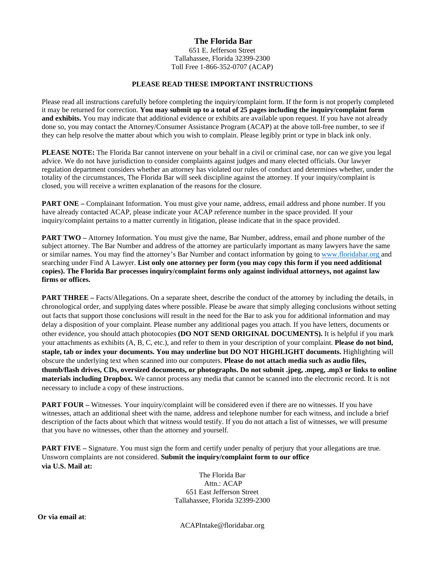#### **The Florida Bar**

651 E. Jefferson Street Tallahassee, Florida 32399-2300 Toll Free 1-866-352-0707 (ACAP)

#### **PLEASE READ THESE IMPORTANT INSTRUCTIONS**

 Please read all instructions carefully before completing the inquiry/complaint form. If the form is not properly completed  it may be returned for correction. **You may submit up to a total of 25 pages including the inquiry/complaint form and exhibits.** You may indicate that additional evidence or exhibits are available upon request. If you have not already done so, you may contact the Attorney/Consumer Assistance Program (ACAP) at the above toll-free number, to see if they can help resolve the matter about which you wish to complain. Please legibly print or type in black ink only.

 regulation department considers whether an attorney has violated our rules of conduct and determines whether, under the **PLEASE NOTE:** The Florida Bar cannot intervene on your behalf in a civil or criminal case, nor can we give you legal advice. We do not have jurisdiction to consider complaints against judges and many elected officials. Our lawyer totality of the circumstances, The Florida Bar will seek discipline against the attorney. If your inquiry/complaint is closed, you will receive a written explanation of the reasons for the closure.

**PART ONE** – Complainant Information. You must give your name, address, email address and phone number. If you have already contacted ACAP, please indicate your ACAP reference number in the space provided. If your inquiry/complaint pertains to a matter currently in litigation, please indicate that in the space provided.

**PART TWO** – Attorney Information. You must give the name, Bar Number, address, email and phone number of the subject attorney. The Bar Number and address of the attorney are particularly important as many lawyers have the same or similar names. You may find the attorney's Bar Number and contact information by going t[o www.floridabar.org and](http://www.floridabar.organd/)  searching under Find A Lawyer. **List only one attorney per form (you may copy this form if you need additional copies). The Florida Bar processes inquiry/complaint forms only against individual attorneys, not against law firms or offices.** 

**PART THREE** – Facts/Allegations. On a separate sheet, describe the conduct of the attorney by including the details, in your attachments as exhibits (A, B, C, etc.), and refer to them in your description of your complaint. **Please do not bind,**  chronological order, and supplying dates where possible. Please be aware that simply alleging conclusions without setting out facts that support those conclusions will result in the need for the Bar to ask you for additional information and may delay a disposition of your complaint. Please number any additional pages you attach. If you have letters, documents or other evidence, you should attach photocopies **(DO NOT SEND ORIGINAL DOCUMENTS).** It is helpful if you mark **staple, tab or index your documents. You may underline but DO NOT HIGHLIGHT documents.** Highlighting will obscure the underlying text when scanned into our computers. **Please do not attach media such as audio files, thumb/flash drives, CDs, oversized documents, or photographs. Do not submit .jpeg, .mpeg, .mp3 or links to online materials including Dropbox.** We cannot process any media that cannot be scanned into the electronic record. It is not necessary to include a copy of these instructions.

**PART FOUR –** Witnesses. Your inquiry/complaint will be considered even if there are no witnesses. If you have witnesses, attach an additional sheet with the name, address and telephone number for each witness, and include a brief description of the facts about which that witness would testify. If you do not attach a list of witnesses, we will presume that you have no witnesses, other than the attorney and yourself.

**PART FIVE** – Signature. You must sign the form and certify under penalty of perjury that your allegations are true. Unsworn complaints are not considered. **Submit the inquiry/complaint form to our office via U.S. Mail at:** 

> The Florida Bar Attn.: ACAP 651 East Jefferson Street Tallahassee, Florida 32399-2300

**Or via email at**:

ACAPIntake@floridabar.org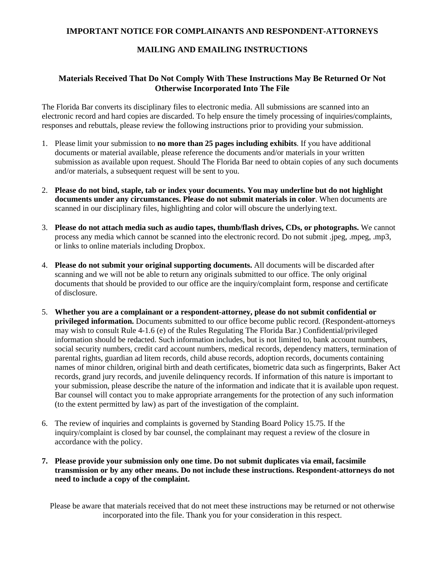### **IMPORTANT NOTICE FOR COMPLAINANTS AND RESPONDENT-ATTORNEYS**

### **MAILING AND EMAILING INSTRUCTIONS**

## **Materials Received That Do Not Comply With These Instructions May Be Returned Or Not Otherwise Incorporated Into The File**

 The Florida Bar converts its disciplinary files to electronic media. All submissions are scanned into an electronic record and hard copies are discarded. To help ensure the timely processing of inquiries/complaints, responses and rebuttals, please review the following instructions prior to providing your submission.

- documents or material available, please reference the documents and/or materials in your written and/or materials, a subsequent request will be sent to you. 1. Please limit your submission to **no more than 25 pages including exhibits**. If you have additional submission as available upon request. Should The Florida Bar need to obtain copies of any such documents
- 2. **Please do not bind, staple, tab or index your documents. You may underline but do not highlight documents under any circumstances. Please do not submit materials in color**. When documents are scanned in our disciplinary files, highlighting and color will obscure the underlying text.
- process any media which cannot be scanned into the electronic record. Do not submit .jpeg, .mpeg, .mp3, or links to online materials including Dropbox. 3. **Please do not attach media such as audio tapes, thumb/flash drives, CDs, or photographs.** We cannot
- 4. **Please do not submit your original supporting documents.** All documents will be discarded after scanning and we will not be able to return any originals submitted to our office. The only original documents that should be provided to our office are the inquiry/complaint form, response and certificate of disclosure.
- information should be redacted. Such information includes, but is not limited to, bank account numbers, records, grand jury records, and juvenile delinquency records. If information of this nature is important to your submission, please describe the nature of the information and indicate that it is available upon request. Bar counsel will contact you to make appropriate arrangements for the protection of any such information (to the extent permitted by law) as part of the investigation of the complaint. 5. **Whether you are a complainant or a respondent-attorney, please do not submit confidential or privileged information.** Documents submitted to our office become public record. (Respondent-attorneys may wish to consult Rule 4-1.6 (e) of the Rules Regulating The Florida Bar.) Confidential/privileged social security numbers, credit card account numbers, medical records, dependency matters, termination of parental rights, guardian ad litem records, child abuse records, adoption records, documents containing names of minor children, original birth and death certificates, biometric data such as fingerprints, Baker Act
- inquiry/complaint is closed by bar counsel, the complainant may request a review of the closure in 6. The review of inquiries and complaints is governed by Standing Board Policy 15.75. If the accordance with the policy.
- **7. Please provide your submission only one time. Do not submit duplicates via email, facsimile transmission or by any other means. Do not include these instructions. Respondent-attorneys do not need to include a copy of the complaint.**

 Please be aware that materials received that do not meet these instructions may be returned or not otherwise incorporated into the file. Thank you for your consideration in this respect.